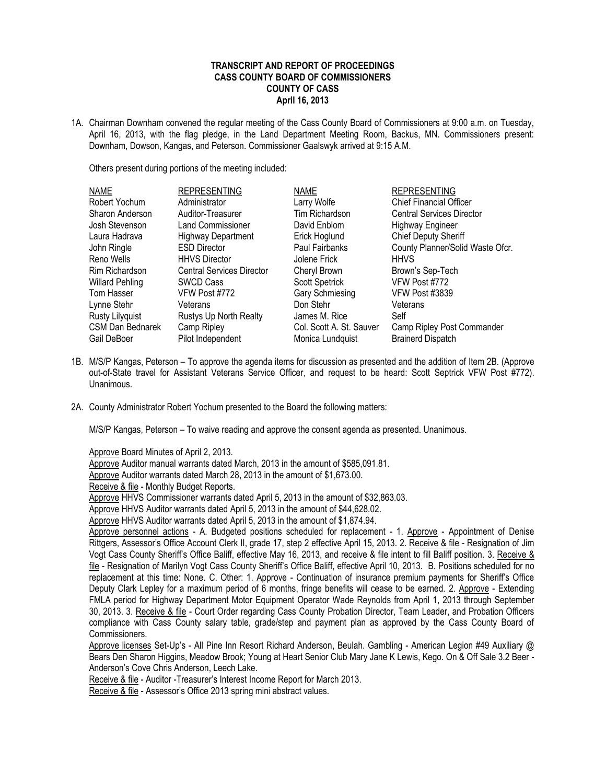## **TRANSCRIPT AND REPORT OF PROCEEDINGS CASS COUNTY BOARD OF COMMISSIONERS COUNTY OF CASS April 16, 2013**

1A. Chairman Downham convened the regular meeting of the Cass County Board of Commissioners at 9:00 a.m. on Tuesday, April 16, 2013, with the flag pledge, in the Land Department Meeting Room, Backus, MN. Commissioners present: Downham, Dowson, Kangas, and Peterson. Commissioner Gaalswyk arrived at 9:15 A.M.

Others present during portions of the meeting included:

| <b>NAME</b>            | <b>REPRESENTING</b>              | <b>NAME</b>              | <b>REPRESENTING</b>              |
|------------------------|----------------------------------|--------------------------|----------------------------------|
| Robert Yochum          | Administrator                    | Larry Wolfe              | <b>Chief Financial Officer</b>   |
| Sharon Anderson        | Auditor-Treasurer                | Tim Richardson           | <b>Central Services Director</b> |
| Josh Stevenson         | <b>Land Commissioner</b>         | David Enblom             | <b>Highway Engineer</b>          |
| Laura Hadrava          | <b>Highway Department</b>        | Erick Hoglund            | Chief Deputy Sheriff             |
| John Ringle            | <b>ESD Director</b>              | Paul Fairbanks           | County Planner/Solid Waste Ofcr. |
| Reno Wells             | <b>HHVS Director</b>             | Jolene Frick             | <b>HHVS</b>                      |
| Rim Richardson         | <b>Central Services Director</b> | Cheryl Brown             | Brown's Sep-Tech                 |
| <b>Willard Pehling</b> | <b>SWCD Cass</b>                 | <b>Scott Spetrick</b>    | VFW Post #772                    |
| Tom Hasser             | VFW Post #772                    | Gary Schmiesing          | <b>VFW Post #3839</b>            |
| Lynne Stehr            | Veterans                         | Don Stehr                | Veterans                         |
| Rusty Lilyquist        | Rustys Up North Realty           | James M. Rice            | Self                             |
| CSM Dan Bednarek       | Camp Ripley                      | Col. Scott A. St. Sauver | Camp Ripley Post Commander       |
| Gail DeBoer            | Pilot Independent                | Monica Lundquist         | <b>Brainerd Dispatch</b>         |

- 1B. M/S/P Kangas, Peterson To approve the agenda items for discussion as presented and the addition of Item 2B. (Approve out-of-State travel for Assistant Veterans Service Officer, and request to be heard: Scott Septrick VFW Post #772). Unanimous.
- 2A. County Administrator Robert Yochum presented to the Board the following matters:

M/S/P Kangas, Peterson – To waive reading and approve the consent agenda as presented. Unanimous.

Approve Board Minutes of April 2, 2013.

Approve Auditor manual warrants dated March, 2013 in the amount of \$585,091.81.

Approve Auditor warrants dated March 28, 2013 in the amount of \$1,673.00.

Receive & file - Monthly Budget Reports.

Approve HHVS Commissioner warrants dated April 5, 2013 in the amount of \$32,863.03.

Approve HHVS Auditor warrants dated April 5, 2013 in the amount of \$44,628.02.

Approve HHVS Auditor warrants dated April 5, 2013 in the amount of \$1,874.94.

Approve personnel actions - A. Budgeted positions scheduled for replacement - 1. Approve - Appointment of Denise Rittgers, Assessor's Office Account Clerk II, grade 17, step 2 effective April 15, 2013. 2. Receive & file - Resignation of Jim Vogt Cass County Sheriff's Office Baliff, effective May 16, 2013, and receive & file intent to fill Baliff position. 3. Receive & file - Resignation of Marilyn Vogt Cass County Sheriff's Office Baliff, effective April 10, 2013. B. Positions scheduled for no replacement at this time: None. C. Other: 1. Approve - Continuation of insurance premium payments for Sheriff's Office Deputy Clark Lepley for a maximum period of 6 months, fringe benefits will cease to be earned. 2. Approve - Extending FMLA period for Highway Department Motor Equipment Operator Wade Reynolds from April 1, 2013 through September 30, 2013. 3. Receive & file - Court Order regarding Cass County Probation Director, Team Leader, and Probation Officers compliance with Cass County salary table, grade/step and payment plan as approved by the Cass County Board of Commissioners.

Approve licenses Set-Up's - All Pine Inn Resort Richard Anderson, Beulah. Gambling - American Legion #49 Auxiliary @ Bears Den Sharon Higgins, Meadow Brook; Young at Heart Senior Club Mary Jane K Lewis, Kego. On & Off Sale 3.2 Beer - Anderson's Cove Chris Anderson, Leech Lake.

Receive & file - Auditor -Treasurer's Interest Income Report for March 2013.

Receive & file - Assessor's Office 2013 spring mini abstract values.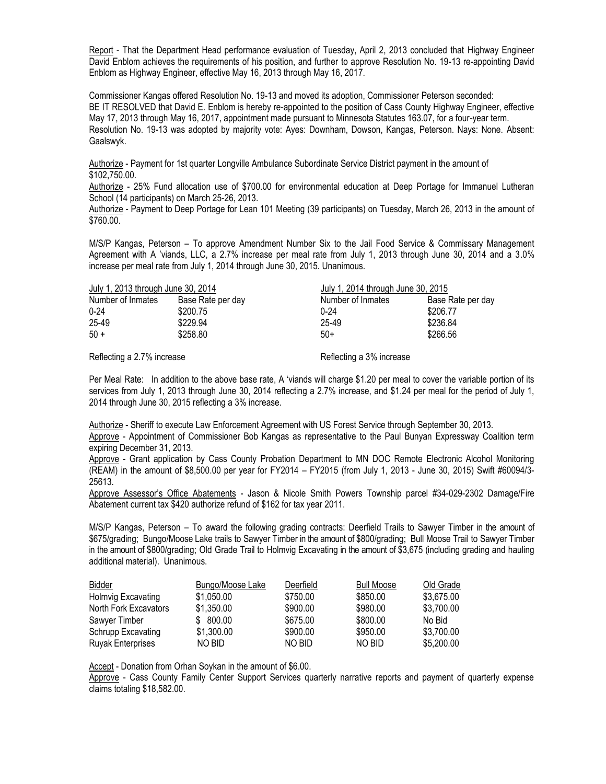Report - That the Department Head performance evaluation of Tuesday, April 2, 2013 concluded that Highway Engineer David Enblom achieves the requirements of his position, and further to approve Resolution No. 19-13 re-appointing David Enblom as Highway Engineer, effective May 16, 2013 through May 16, 2017.

Commissioner Kangas offered Resolution No. 19-13 and moved its adoption, Commissioner Peterson seconded: BE IT RESOLVED that David E. Enblom is hereby re-appointed to the position of Cass County Highway Engineer, effective May 17, 2013 through May 16, 2017, appointment made pursuant to Minnesota Statutes 163.07, for a four-year term. Resolution No. 19-13 was adopted by majority vote: Ayes: Downham, Dowson, Kangas, Peterson. Nays: None. Absent: Gaalswyk.

Authorize - Payment for 1st quarter Longville Ambulance Subordinate Service District payment in the amount of \$102,750.00.

Authorize - 25% Fund allocation use of \$700.00 for environmental education at Deep Portage for Immanuel Lutheran School (14 participants) on March 25-26, 2013.

Authorize - Payment to Deep Portage for Lean 101 Meeting (39 participants) on Tuesday, March 26, 2013 in the amount of \$760.00.

M/S/P Kangas, Peterson – To approve Amendment Number Six to the Jail Food Service & Commissary Management Agreement with A 'viands, LLC, a 2.7% increase per meal rate from July 1, 2013 through June 30, 2014 and a 3.0% increase per meal rate from July 1, 2014 through June 30, 2015. Unanimous.

| July 1, 2013 through June 30, 2014 |                   | July 1, 2014 through June 30, 2015 |                   |
|------------------------------------|-------------------|------------------------------------|-------------------|
| Number of Inmates                  | Base Rate per day | Number of Inmates                  | Base Rate per day |
| $0 - 24$                           | \$200.75          | $0 - 24$                           | \$206.77          |
| 25-49                              | \$229.94          | 25-49                              | \$236.84          |
| $50 +$                             | \$258.80          | $50+$                              | \$266.56          |
|                                    |                   |                                    |                   |

Reflecting a 2.7% increase Reflecting a 3% increase

Per Meal Rate: In addition to the above base rate, A 'viands will charge \$1.20 per meal to cover the variable portion of its services from July 1, 2013 through June 30, 2014 reflecting a 2.7% increase, and \$1.24 per meal for the period of July 1, 2014 through June 30, 2015 reflecting a 3% increase.

Authorize - Sheriff to execute Law Enforcement Agreement with US Forest Service through September 30, 2013. Approve - Appointment of Commissioner Bob Kangas as representative to the Paul Bunyan Expressway Coalition term expiring December 31, 2013.

Approve - Grant application by Cass County Probation Department to MN DOC Remote Electronic Alcohol Monitoring (REAM) in the amount of \$8,500.00 per year for FY2014 – FY2015 (from July 1, 2013 - June 30, 2015) Swift #60094/3- 25613.

Approve Assessor's Office Abatements - Jason & Nicole Smith Powers Township parcel #34-029-2302 Damage/Fire Abatement current tax \$420 authorize refund of \$162 for tax year 2011.

M/S/P Kangas, Peterson – To award the following grading contracts: Deerfield Trails to Sawyer Timber in the amount of \$675/grading; Bungo/Moose Lake trails to Sawyer Timber in the amount of \$800/grading; Bull Moose Trail to Sawyer Timber in the amount of \$800/grading; Old Grade Trail to Holmvig Excavating in the amount of \$3,675 (including grading and hauling additional material). Unanimous.

| Bidder                    | Bungo/Moose Lake | Deerfield | <b>Bull Moose</b> | Old Grade  |
|---------------------------|------------------|-----------|-------------------|------------|
| Holmvig Excavating        | \$1,050,00       | \$750.00  | \$850.00          | \$3.675.00 |
| North Fork Excavators     | \$1,350,00       | \$900.00  | \$980.00          | \$3,700.00 |
| Sawyer Timber             | \$ 800.00        | \$675.00  | \$800.00          | No Bid     |
| <b>Schrupp Excavating</b> | \$1,300.00       | \$900.00  | \$950.00          | \$3,700.00 |
| <b>Ruyak Enterprises</b>  | NO BID           | NO BID    | NO BID            | \$5,200.00 |

Accept - Donation from Orhan Soykan in the amount of \$6.00.

Approve - Cass County Family Center Support Services quarterly narrative reports and payment of quarterly expense claims totaling \$18,582.00.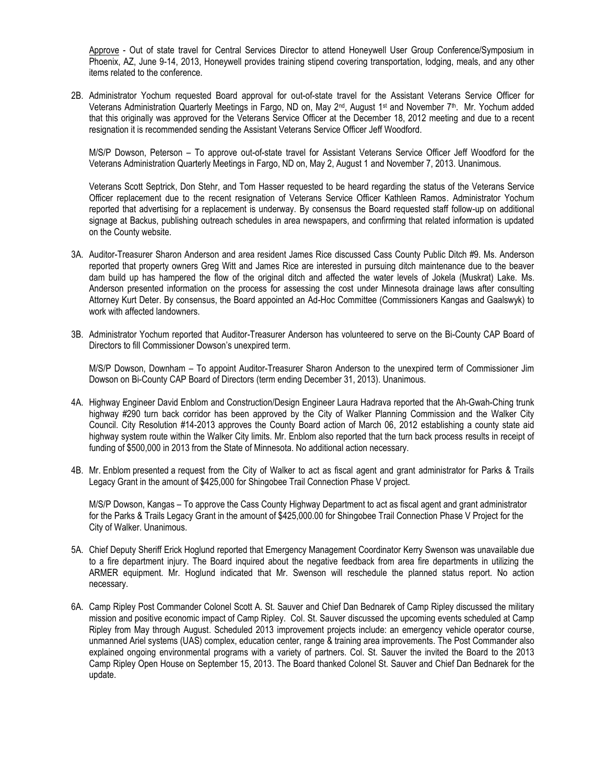Approve - Out of state travel for Central Services Director to attend Honeywell User Group Conference/Symposium in Phoenix, AZ, June 9-14, 2013, Honeywell provides training stipend covering transportation, lodging, meals, and any other items related to the conference.

2B. Administrator Yochum requested Board approval for out-of-state travel for the Assistant Veterans Service Officer for Veterans Administration Quarterly Meetings in Fargo, ND on, May 2<sup>nd</sup>, August 1st and November 7th. Mr. Yochum added that this originally was approved for the Veterans Service Officer at the December 18, 2012 meeting and due to a recent resignation it is recommended sending the Assistant Veterans Service Officer Jeff Woodford.

M/S/P Dowson, Peterson – To approve out-of-state travel for Assistant Veterans Service Officer Jeff Woodford for the Veterans Administration Quarterly Meetings in Fargo, ND on, May 2, August 1 and November 7, 2013. Unanimous.

Veterans Scott Septrick, Don Stehr, and Tom Hasser requested to be heard regarding the status of the Veterans Service Officer replacement due to the recent resignation of Veterans Service Officer Kathleen Ramos. Administrator Yochum reported that advertising for a replacement is underway. By consensus the Board requested staff follow-up on additional signage at Backus, publishing outreach schedules in area newspapers, and confirming that related information is updated on the County website.

- 3A. Auditor-Treasurer Sharon Anderson and area resident James Rice discussed Cass County Public Ditch #9. Ms. Anderson reported that property owners Greg Witt and James Rice are interested in pursuing ditch maintenance due to the beaver dam build up has hampered the flow of the original ditch and affected the water levels of Jokela (Muskrat) Lake. Ms. Anderson presented information on the process for assessing the cost under Minnesota drainage laws after consulting Attorney Kurt Deter. By consensus, the Board appointed an Ad-Hoc Committee (Commissioners Kangas and Gaalswyk) to work with affected landowners.
- 3B. Administrator Yochum reported that Auditor-Treasurer Anderson has volunteered to serve on the Bi-County CAP Board of Directors to fill Commissioner Dowson's unexpired term.

M/S/P Dowson, Downham – To appoint Auditor-Treasurer Sharon Anderson to the unexpired term of Commissioner Jim Dowson on Bi-County CAP Board of Directors (term ending December 31, 2013). Unanimous.

- 4A. Highway Engineer David Enblom and Construction/Design Engineer Laura Hadrava reported that the Ah-Gwah-Ching trunk highway #290 turn back corridor has been approved by the City of Walker Planning Commission and the Walker City Council. City Resolution #14-2013 approves the County Board action of March 06, 2012 establishing a county state aid highway system route within the Walker City limits. Mr. Enblom also reported that the turn back process results in receipt of funding of \$500,000 in 2013 from the State of Minnesota. No additional action necessary.
- 4B. Mr. Enblom presented a request from the City of Walker to act as fiscal agent and grant administrator for Parks & Trails Legacy Grant in the amount of \$425,000 for Shingobee Trail Connection Phase V project.

M/S/P Dowson, Kangas – To approve the Cass County Highway Department to act as fiscal agent and grant administrator for the Parks & Trails Legacy Grant in the amount of \$425,000.00 for Shingobee Trail Connection Phase V Project for the City of Walker. Unanimous.

- 5A. Chief Deputy Sheriff Erick Hoglund reported that Emergency Management Coordinator Kerry Swenson was unavailable due to a fire department injury. The Board inquired about the negative feedback from area fire departments in utilizing the ARMER equipment. Mr. Hoglund indicated that Mr. Swenson will reschedule the planned status report. No action necessary.
- 6A. Camp Ripley Post Commander Colonel Scott A. St. Sauver and Chief Dan Bednarek of Camp Ripley discussed the military mission and positive economic impact of Camp Ripley. Col. St. Sauver discussed the upcoming events scheduled at Camp Ripley from May through August. Scheduled 2013 improvement projects include: an emergency vehicle operator course, unmanned Ariel systems (UAS) complex, education center, range & training area improvements. The Post Commander also explained ongoing environmental programs with a variety of partners. Col. St. Sauver the invited the Board to the 2013 Camp Ripley Open House on September 15, 2013. The Board thanked Colonel St. Sauver and Chief Dan Bednarek for the update.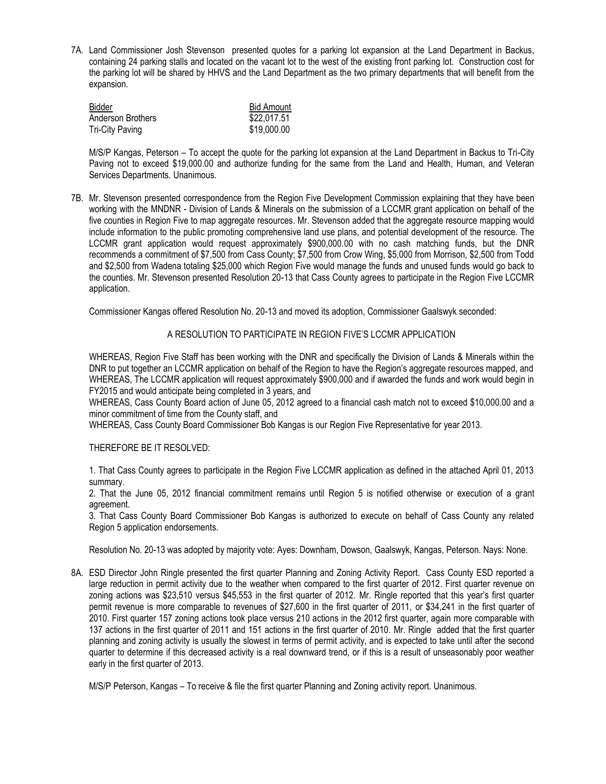7A. Land Commissioner Josh Stevenson presented quotes for a parking lot expansion at the Land Department in Backus, containing 24 parking stalls and located on the vacant lot to the west of the existing front parking lot. Construction cost for the parking lot will be shared by HHVS and the Land Department as the two primary departments that will benefit from the expansion.

| Bidder            | <b>Bid Amount</b> |
|-------------------|-------------------|
| Anderson Brothers | \$22,017.51       |
| Tri-City Paving   | \$19,000.00       |

M/S/P Kangas, Peterson – To accept the quote for the parking lot expansion at the Land Department in Backus to Tri-City Paving not to exceed \$19,000.00 and authorize funding for the same from the Land and Health, Human, and Veteran Services Departments. Unanimous.

7B. Mr. Stevenson presented correspondence from the Region Five Development Commission explaining that they have been working with the MNDNR - Division of Lands & Minerals on the submission of a LCCMR grant application on behalf of the five counties in Region Five to map aggregate resources. Mr. Stevenson added that the aggregate resource mapping would include information to the public promoting comprehensive land use plans, and potential development of the resource. The LCCMR grant application would request approximately \$900,000.00 with no cash matching funds, but the DNR recommends a commitment of \$7,500 from Cass County; \$7,500 from Crow Wing, \$5,000 from Morrison, \$2,500 from Todd and \$2,500 from Wadena totaling \$25,000 which Region Five would manage the funds and unused funds would go back to the counties. Mr. Stevenson presented Resolution 20-13 that Cass County agrees to participate in the Region Five LCCMR application.

Commissioner Kangas offered Resolution No. 20-13 and moved its adoption, Commissioner Gaalswyk seconded:

## A RESOLUTION TO PARTICIPATE IN REGION FIVE'S LCCMR APPLICATION

WHEREAS, Region Five Staff has been working with the DNR and specifically the Division of Lands & Minerals within the DNR to put together an LCCMR application on behalf of the Region to have the Region's aggregate resources mapped, and WHEREAS, The LCCMR application will request approximately \$900,000 and if awarded the funds and work would begin in FY2015 and would anticipate being completed in 3 years, and

WHEREAS, Cass County Board action of June 05, 2012 agreed to a financial cash match not to exceed \$10,000.00 and a minor commitment of time from the County staff, and

WHEREAS, Cass County Board Commissioner Bob Kangas is our Region Five Representative for year 2013.

## THEREFORE BE IT RESOLVED:

1. That Cass County agrees to participate in the Region Five LCCMR application as defined in the attached April 01, 2013 summary.

2. That the June 05, 2012 financial commitment remains until Region 5 is notified otherwise or execution of a grant agreement.

3. That Cass County Board Commissioner Bob Kangas is authorized to execute on behalf of Cass County any related Region 5 application endorsements.

Resolution No. 20-13 was adopted by majority vote: Ayes: Downham, Dowson, Gaalswyk, Kangas, Peterson. Nays: None.

8A. ESD Director John Ringle presented the first quarter Planning and Zoning Activity Report. Cass County ESD reported a large reduction in permit activity due to the weather when compared to the first quarter of 2012. First quarter revenue on zoning actions was \$23,510 versus \$45,553 in the first quarter of 2012. Mr. Ringle reported that this year's first quarter permit revenue is more comparable to revenues of \$27,600 in the first quarter of 2011, or \$34,241 in the first quarter of 2010. First quarter 157 zoning actions took place versus 210 actions in the 2012 first quarter, again more comparable with 137 actions in the first quarter of 2011 and 151 actions in the first quarter of 2010. Mr. Ringle added that the first quarter planning and zoning activity is usually the slowest in terms of permit activity, and is expected to take until after the second quarter to determine if this decreased activity is a real downward trend, or if this is a result of unseasonably poor weather early in the first quarter of 2013.

M/S/P Peterson, Kangas – To receive & file the first quarter Planning and Zoning activity report. Unanimous.